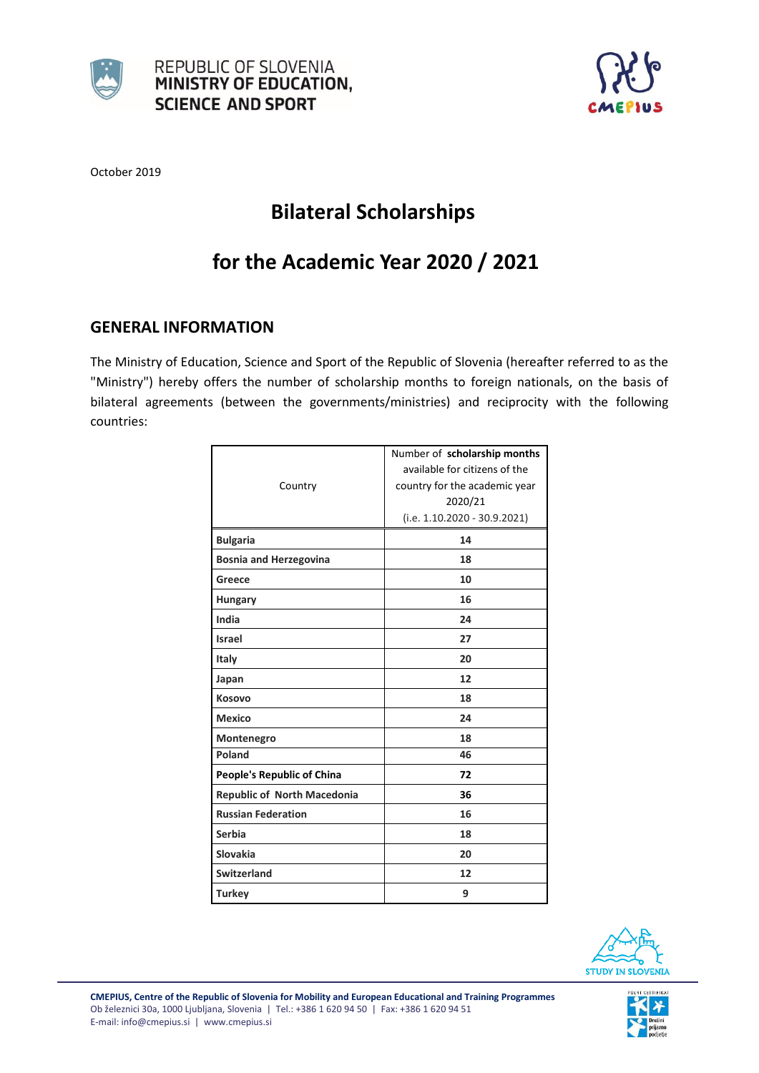



October 2019

# **Bilateral Scholarships**

# **for the Academic Year 2020 / 2021**

### **GENERAL INFORMATION**

The Ministry of Education, Science and Sport of the Republic of Slovenia (hereafter referred to as the "Ministry") hereby offers the number of scholarship months to foreign nationals, on the basis of bilateral agreements (between the governments/ministries) and reciprocity with the following countries:

|                               | Number of scholarship months   |
|-------------------------------|--------------------------------|
|                               | available for citizens of the  |
| Country                       | country for the academic year  |
|                               | 2020/21                        |
|                               | $(i.e. 1.10.2020 - 30.9.2021)$ |
| <b>Bulgaria</b>               | 14                             |
| <b>Bosnia and Herzegovina</b> | 18                             |
| Greece                        | 10                             |
| <b>Hungary</b>                | 16                             |
| India                         | 24                             |
| <b>Israel</b>                 | 27                             |
| <b>Italy</b>                  | 20                             |
| Japan                         | 12                             |
| Kosovo                        | 18                             |
| <b>Mexico</b>                 | 24                             |
| Montenegro                    | 18                             |
| Poland                        | 46                             |
| People's Republic of China    | 72                             |
| Republic of North Macedonia   | 36                             |
| <b>Russian Federation</b>     | 16                             |
| Serbia                        | 18                             |
| <b>Slovakia</b>               | 20                             |
| <b>Switzerland</b>            | 12                             |
| <b>Turkey</b>                 | 9                              |



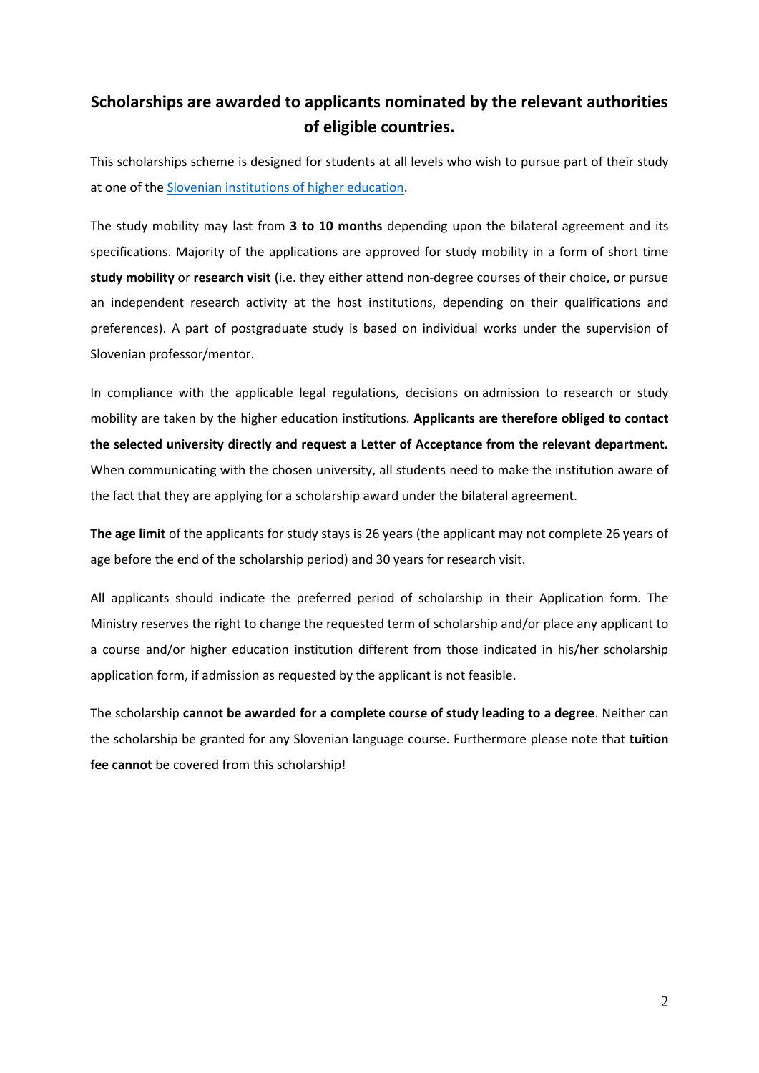## **Scholarships are awarded to applicants nominated by the relevant authorities of eligible countries.**

This scholarships scheme is designed for students at all levels who wish to pursue part of their study at one of the [Slovenian institutions](http://studyinslovenia.si/study/universities-and-institutions/) of higher education.

The study mobility may last from **3 to 10 months** depending upon the bilateral agreement and its specifications. Majority of the applications are approved for study mobility in a form of short time **study mobility** or **research visit** (i.e. they either attend non-degree courses of their choice, or pursue an independent research activity at the host institutions, depending on their qualifications and preferences). A part of postgraduate study is based on individual works under the supervision of Slovenian professor/mentor.

In compliance with the applicable legal regulations, decisions on admission to research or study mobility are taken by the higher education institutions. **Applicants are therefore obliged to contact the selected university directly and request a Letter of Acceptance from the relevant department.** When communicating with the chosen university, all students need to make the institution aware of the fact that they are applying for a scholarship award under the bilateral agreement.

**The age limit** of the applicants for study stays is 26 years (the applicant may not complete 26 years of age before the end of the scholarship period) and 30 years for research visit.

All applicants should indicate the preferred period of scholarship in their Application form. The Ministry reserves the right to change the requested term of scholarship and/or place any applicant to a course and/or higher education institution different from those indicated in his/her scholarship application form, if admission as requested by the applicant is not feasible.

The scholarship **cannot be awarded for a complete course of study leading to a degree**. Neither can the scholarship be granted for any Slovenian language course. Furthermore please note that **tuition fee cannot** be covered from this scholarship!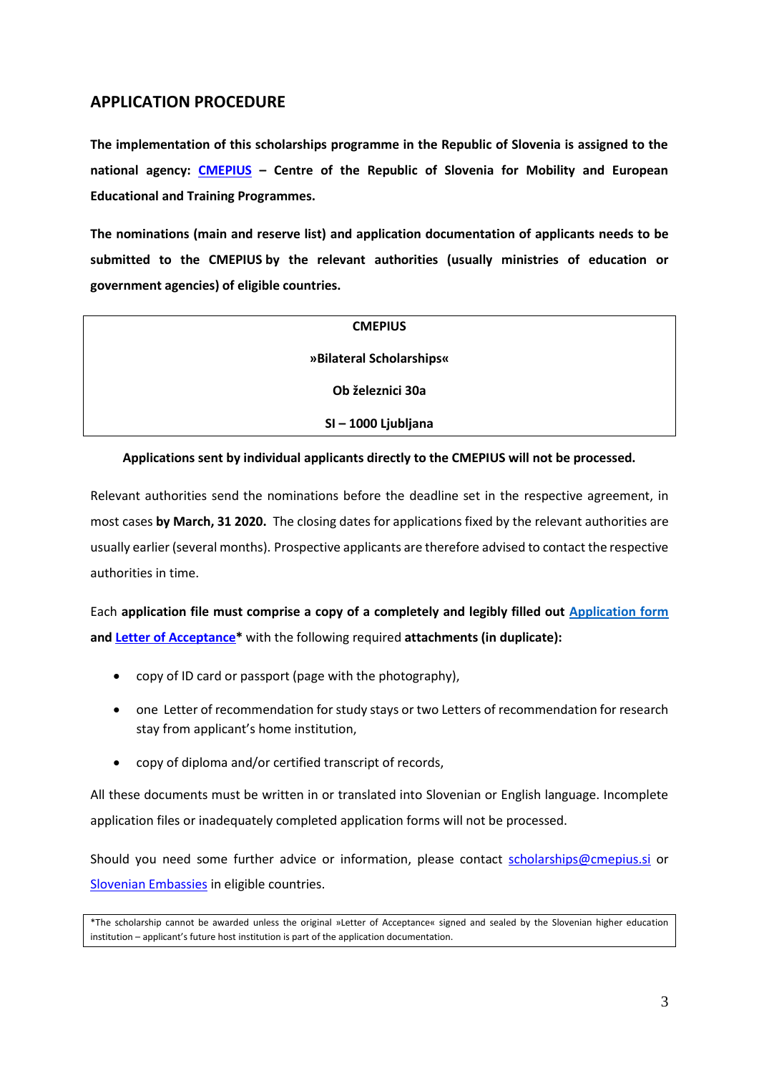### **APPLICATION PROCEDURE**

**The implementation of this scholarships programme in the Republic of Slovenia is assigned to the national agency: [CMEPIUS](http://www.cmepius.si/en/) – Centre of the Republic of Slovenia for Mobility and European Educational and Training Programmes.**

**The nominations (main and reserve list) and application documentation of applicants needs to be submitted to the CMEPIUS by the relevant authorities (usually ministries of education or government agencies) of eligible countries.** 

| <b>CMEPIUS</b>           |
|--------------------------|
| »Bilateral Scholarships« |
| Ob železnici 30a         |
| SI-1000 Ljubljana        |

#### **Applications sent by individual applicants directly to the CMEPIUS will not be processed.**

Relevant authorities send the nominations before the deadline set in the respective agreement, in most cases **by March, 31 2020.** The closing dates for applications fixed by the relevant authorities are usually earlier (several months). Prospective applicants are therefore advised to contact the respective authorities in time.

Each **application file must comprise a copy of a completely and legibly filled out [Application form](http://sova.cmepius.si/limesurvey/index.php?r=survey/index/sid/758897/lang/en) and Letter of Acceptance\*** with the following required **attachments (in duplicate):**

- copy of ID card or passport (page with the photography),
- one Letter of recommendation for study stays or two Letters of recommendation for research stay from applicant's home institution,
- copy of diploma and/or certified transcript of records,

All these documents must be written in or translated into Slovenian or English language. Incomplete application files or inadequately completed application forms will not be processed.

Should you need some further advice or information, please contact [scholarships@cmepius.si](mailto:scholarships@cmepius.si) or Slovenian Embassies in eligible countries.

<sup>\*</sup>The scholarship cannot be awarded unless the original »Letter of Acceptance« signed and sealed by the Slovenian higher education institution – applicant's future host institution is part of the application documentation.